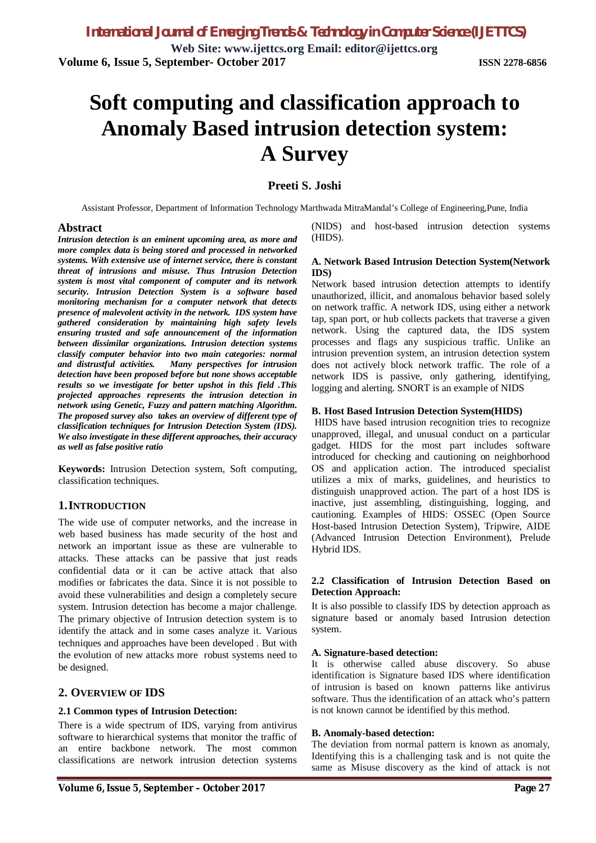**Web Site: www.ijettcs.org Email: editor@ijettcs.org Volume 6, Issue 5, September- October 2017 ISSN 2278-6856**

# **Soft computing and classification approach to Anomaly Based intrusion detection system: A Survey**

### **Preeti S. Joshi**

Assistant Professor, Department of Information Technology Marthwada MitraMandal's College of Engineering,Pune, India

#### **Abstract**

*Intrusion detection is an eminent upcoming area, as more and more complex data is being stored and processed in networked systems. With extensive use of internet service, there is constant threat of intrusions and misuse. Thus Intrusion Detection system is most vital component of computer and its network security. Intrusion Detection System is a software based monitoring mechanism for a computer network that detects presence of malevolent activity in the network. IDS system have gathered consideration by maintaining high safety levels ensuring trusted and safe announcement of the information between dissimilar organizations. Intrusion detection systems classify computer behavior into two main categories: normal and distrustful activities. Many perspectives for intrusion detection have been proposed before but none shows acceptable results so we investigate for better upshot in this field .This projected approaches represents the intrusion detection in network using Genetic, Fuzzy and pattern matching Algorithm. The proposed survey also takes an overview of different type of classification techniques for Intrusion Detection System (IDS). We also investigate in these different approaches, their accuracy as well as false positive ratio*

**Keywords:** Intrusion Detection system, Soft computing, classification techniques.

### **1.INTRODUCTION**

The wide use of computer networks, and the increase in web based business has made security of the host and network an important issue as these are vulnerable to attacks. These attacks can be passive that just reads confidential data or it can be active attack that also modifies or fabricates the data. Since it is not possible to avoid these vulnerabilities and design a completely secure system. Intrusion detection has become a major challenge. The primary objective of Intrusion detection system is to identify the attack and in some cases analyze it. Various techniques and approaches have been developed . But with the evolution of new attacks more robust systems need to be designed.

### **2. OVERVIEW OF IDS**

#### **2.1 Common types of Intrusion Detection:**

There is a wide spectrum of IDS, varying from antivirus software to hierarchical systems that monitor the traffic of an entire backbone network. The most common classifications are network intrusion detection systems

(NIDS) and host-based intrusion detection systems (HIDS).

#### **A. Network Based Intrusion Detection System(Network IDS)**

Network based intrusion detection attempts to identify unauthorized, illicit, and anomalous behavior based solely on network traffic. A network IDS, using either a network tap, span port, or hub collects packets that traverse a given network. Using the captured data, the IDS system processes and flags any suspicious traffic. Unlike an intrusion prevention system, an intrusion detection system does not actively block network traffic. The role of a network IDS is passive, only gathering, identifying, logging and alerting. SNORT is an example of NIDS

#### **B. Host Based Intrusion Detection System(HIDS)**

HIDS have based intrusion recognition tries to recognize unapproved, illegal, and unusual conduct on a particular gadget. HIDS for the most part includes software introduced for checking and cautioning on neighborhood OS and application action. The introduced specialist utilizes a mix of marks, guidelines, and heuristics to distinguish unapproved action. The part of a host IDS is inactive, just assembling, distinguishing, logging, and cautioning. Examples of HIDS: OSSEC (Open Source Host-based Intrusion Detection System), Tripwire, AIDE (Advanced Intrusion Detection Environment), Prelude Hybrid IDS.

#### **2.2 Classification of Intrusion Detection Based on Detection Approach:**

It is also possible to classify IDS by detection approach as signature based or anomaly based Intrusion detection system.

#### **A. Signature-based detection:**

It is otherwise called abuse discovery. So abuse identification is Signature based IDS where identification of intrusion is based on known patterns like antivirus software. Thus the identification of an attack who's pattern is not known cannot be identified by this method.

#### **B. Anomaly-based detection:**

The deviation from normal pattern is known as anomaly, Identifying this is a challenging task and is not quite the same as Misuse discovery as the kind of attack is not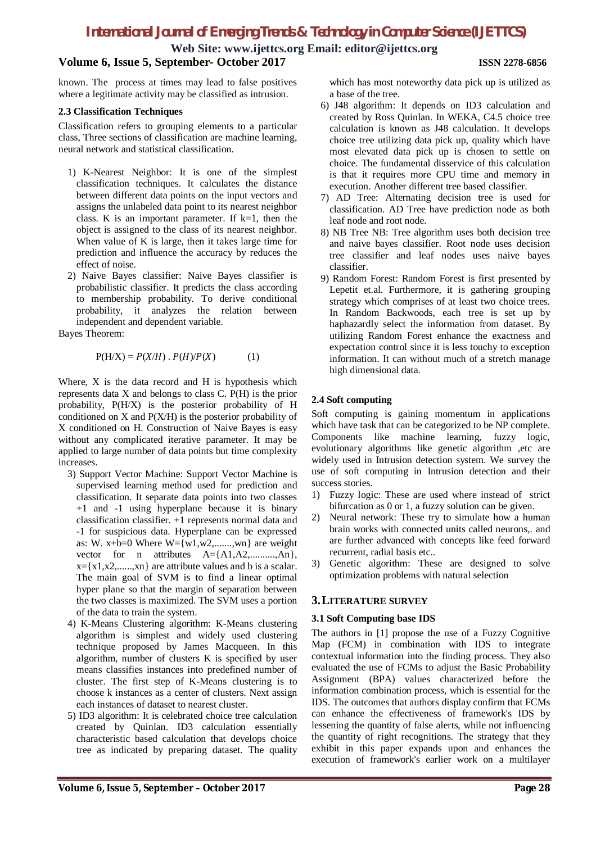**Web Site: www.ijettcs.org Email: editor@ijettcs.org**

### **Volume 6, Issue 5, September- October 2017 ISSN 2278-6856**

known. The process at times may lead to false positives where a legitimate activity may be classified as intrusion.

#### **2.3 Classification Techniques**

Classification refers to grouping elements to a particular class, Three sections of classification are machine learning, neural network and statistical classification.

- 1) K-Nearest Neighbor: It is one of the simplest classification techniques. It calculates the distance between different data points on the input vectors and assigns the unlabeled data point to its nearest neighbor class. K is an important parameter. If  $k=1$ , then the object is assigned to the class of its nearest neighbor. When value of K is large, then it takes large time for prediction and influence the accuracy by reduces the effect of noise.
- 2) Naive Bayes classifier: Naive Bayes classifier is probabilistic classifier. It predicts the class according to membership probability. To derive conditional probability, it analyzes the relation between independent and dependent variable.

Bayes Theorem:

$$
P(H/X) = P(X/H) \cdot P(H)/P(X) \tag{1}
$$

Where, X is the data record and H is hypothesis which represents data X and belongs to class C. P(H) is the prior probability, P(H/X) is the posterior probability of H conditioned on X and P(X/H) is the posterior probability of X conditioned on H. Construction of Naive Bayes is easy without any complicated iterative parameter. It may be applied to large number of data points but time complexity increases.

- 3) Support Vector Machine: Support Vector Machine is supervised learning method used for prediction and classification. It separate data points into two classes +1 and -1 using hyperplane because it is binary classification classifier. +1 represents normal data and -1 for suspicious data. Hyperplane can be expressed as: W. x+b=0 Where  $W = \{w1, w2, \dots, wn\}$  are weight vector for n attributes  $A = \{A1, A2, \dots, An\}$ ,  $x = \{x1, x2, \ldots, xn\}$  are attribute values and b is a scalar. The main goal of SVM is to find a linear optimal hyper plane so that the margin of separation between the two classes is maximized. The SVM uses a portion of the data to train the system.
- 4) K-Means Clustering algorithm: K-Means clustering algorithm is simplest and widely used clustering technique proposed by James Macqueen. In this algorithm, number of clusters K is specified by user means classifies instances into predefined number of cluster. The first step of K-Means clustering is to choose k instances as a center of clusters. Next assign each instances of dataset to nearest cluster.
- 5) ID3 algorithm: It is celebrated choice tree calculation created by Quinlan. ID3 calculation essentially characteristic based calculation that develops choice tree as indicated by preparing dataset. The quality

which has most noteworthy data pick up is utilized as a base of the tree.

- 6) J48 algorithm: It depends on ID3 calculation and created by Ross Quinlan. In WEKA, C4.5 choice tree calculation is known as J48 calculation. It develops choice tree utilizing data pick up, quality which have most elevated data pick up is chosen to settle on choice. The fundamental disservice of this calculation is that it requires more CPU time and memory in execution. Another different tree based classifier.
- 7) AD Tree: Alternating decision tree is used for classification. AD Tree have prediction node as both leaf node and root node.
- 8) NB Tree NB: Tree algorithm uses both decision tree and naive bayes classifier. Root node uses decision tree classifier and leaf nodes uses naive bayes classifier.
- 9) Random Forest: Random Forest is first presented by Lepetit et.al. Furthermore, it is gathering grouping strategy which comprises of at least two choice trees. In Random Backwoods, each tree is set up by haphazardly select the information from dataset. By utilizing Random Forest enhance the exactness and expectation control since it is less touchy to exception information. It can without much of a stretch manage high dimensional data.

### **2.4 Soft computing**

Soft computing is gaining momentum in applications which have task that can be categorized to be NP complete. Components like machine learning, fuzzy logic, evolutionary algorithms like genetic algorithm ,etc are widely used in Intrusion detection system. We survey the use of soft computing in Intrusion detection and their success stories.

- 1) Fuzzy logic: These are used where instead of strict bifurcation as 0 or 1, a fuzzy solution can be given.
- 2) Neural network: These try to simulate how a human brain works with connected units called neurons,. and are further advanced with concepts like feed forward recurrent, radial basis etc..
- 3) Genetic algorithm: These are designed to solve optimization problems with natural selection

### **3.LITERATURE SURVEY**

### **3.1 Soft Computing base IDS**

The authors in [1] propose the use of a Fuzzy Cognitive Map (FCM) in combination with IDS to integrate contextual information into the finding process. They also evaluated the use of FCMs to adjust the Basic Probability Assignment (BPA) values characterized before the information combination process, which is essential for the IDS. The outcomes that authors display confirm that FCMs can enhance the effectiveness of framework's IDS by lessening the quantity of false alerts, while not influencing the quantity of right recognitions. The strategy that they exhibit in this paper expands upon and enhances the execution of framework's earlier work on a multilayer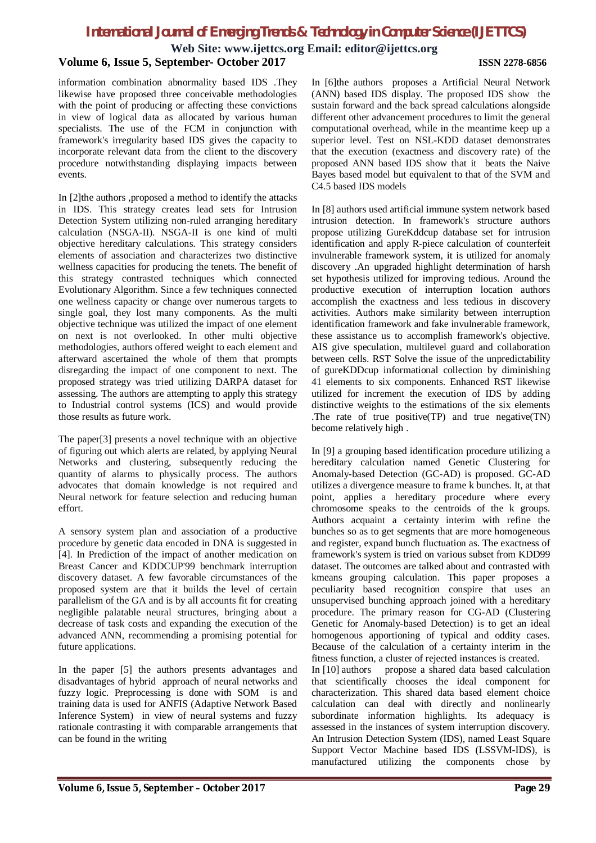**Web Site: www.ijettcs.org Email: editor@ijettcs.org**

#### **Volume 6, Issue 5, September- October 2017 ISSN 2278-6856**

information combination abnormality based IDS .They likewise have proposed three conceivable methodologies with the point of producing or affecting these convictions in view of logical data as allocated by various human specialists. The use of the FCM in conjunction with framework's irregularity based IDS gives the capacity to incorporate relevant data from the client to the discovery procedure notwithstanding displaying impacts between events.

In [2]the authors ,proposed a method to identify the attacks in IDS. This strategy creates lead sets for Intrusion Detection System utilizing non-ruled arranging hereditary calculation (NSGA-II). NSGA-II is one kind of multi objective hereditary calculations. This strategy considers elements of association and characterizes two distinctive wellness capacities for producing the tenets. The benefit of this strategy contrasted techniques which connected Evolutionary Algorithm. Since a few techniques connected one wellness capacity or change over numerous targets to single goal, they lost many components. As the multi objective technique was utilized the impact of one element on next is not overlooked. In other multi objective methodologies, authors offered weight to each element and afterward ascertained the whole of them that prompts disregarding the impact of one component to next. The proposed strategy was tried utilizing DARPA dataset for assessing. The authors are attempting to apply this strategy to Industrial control systems (ICS) and would provide those results as future work.

The paper[3] presents a novel technique with an objective of figuring out which alerts are related, by applying Neural Networks and clustering, subsequently reducing the quantity of alarms to physically process. The authors advocates that domain knowledge is not required and Neural network for feature selection and reducing human effort.

A sensory system plan and association of a productive procedure by genetic data encoded in DNA is suggested in [4]. In Prediction of the impact of another medication on Breast Cancer and KDDCUP'99 benchmark interruption discovery dataset. A few favorable circumstances of the proposed system are that it builds the level of certain parallelism of the GA and is by all accounts fit for creating negligible palatable neural structures, bringing about a decrease of task costs and expanding the execution of the advanced ANN, recommending a promising potential for future applications.

In the paper [5] the authors presents advantages and disadvantages of hybrid approach of neural networks and fuzzy logic. Preprocessing is done with SOM is and training data is used for ANFIS (Adaptive Network Based Inference System) in view of neural systems and fuzzy rationale contrasting it with comparable arrangements that can be found in the writing

In [6]the authors proposes a Artificial Neural Network (ANN) based IDS display. The proposed IDS show the sustain forward and the back spread calculations alongside different other advancement procedures to limit the general computational overhead, while in the meantime keep up a superior level. Test on NSL-KDD dataset demonstrates that the execution (exactness and discovery rate) of the proposed ANN based IDS show that it beats the Naive Bayes based model but equivalent to that of the SVM and C4.5 based IDS models

In [8] authors used artificial immune system network based intrusion detection. In framework's structure authors propose utilizing GureKddcup database set for intrusion identification and apply R-piece calculation of counterfeit invulnerable framework system, it is utilized for anomaly discovery .An upgraded highlight determination of harsh set hypothesis utilized for improving tedious. Around the productive execution of interruption location authors accomplish the exactness and less tedious in discovery activities. Authors make similarity between interruption identification framework and fake invulnerable framework, these assistance us to accomplish framework's objective. AIS give speculation, multilevel guard and collaboration between cells. RST Solve the issue of the unpredictability of gureKDDcup informational collection by diminishing 41 elements to six components. Enhanced RST likewise utilized for increment the execution of IDS by adding distinctive weights to the estimations of the six elements .The rate of true positive(TP) and true negative(TN) become relatively high .

In [9] a grouping based identification procedure utilizing a hereditary calculation named Genetic Clustering for Anomaly-based Detection (GC-AD) is proposed. GC-AD utilizes a divergence measure to frame k bunches. It, at that point, applies a hereditary procedure where every chromosome speaks to the centroids of the k groups. Authors acquaint a certainty interim with refine the bunches so as to get segments that are more homogeneous and register, expand bunch fluctuation as. The exactness of framework's system is tried on various subset from KDD99 dataset. The outcomes are talked about and contrasted with kmeans grouping calculation. This paper proposes a peculiarity based recognition conspire that uses an unsupervised bunching approach joined with a hereditary procedure. The primary reason for CG-AD (Clustering Genetic for Anomaly-based Detection) is to get an ideal homogenous apportioning of typical and oddity cases. Because of the calculation of a certainty interim in the fitness function, a cluster of rejected instances is created.

In [10] authors propose a shared data based calculation that scientifically chooses the ideal component for characterization. This shared data based element choice calculation can deal with directly and nonlinearly subordinate information highlights. Its adequacy is assessed in the instances of system interruption discovery. An Intrusion Detection System (IDS), named Least Square Support Vector Machine based IDS (LSSVM-IDS), is manufactured utilizing the components chose by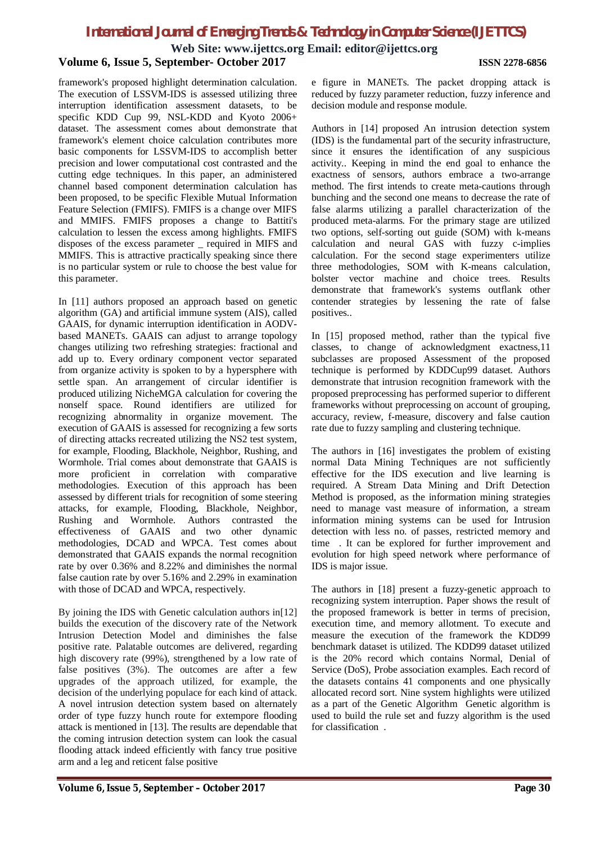**Web Site: www.ijettcs.org Email: editor@ijettcs.org**

#### **Volume 6, Issue 5, September- October 2017 ISSN 2278-6856**

framework's proposed highlight determination calculation. The execution of LSSVM-IDS is assessed utilizing three interruption identification assessment datasets, to be specific KDD Cup 99, NSL-KDD and Kyoto 2006+ dataset. The assessment comes about demonstrate that framework's element choice calculation contributes more basic components for LSSVM-IDS to accomplish better precision and lower computational cost contrasted and the cutting edge techniques. In this paper, an administered channel based component determination calculation has been proposed, to be specific Flexible Mutual Information Feature Selection (FMIFS). FMIFS is a change over MIFS and MMIFS. FMIFS proposes a change to Battiti's calculation to lessen the excess among highlights. FMIFS disposes of the excess parameter \_ required in MIFS and MMIFS. This is attractive practically speaking since there is no particular system or rule to choose the best value for this parameter.

In [11] authors proposed an approach based on genetic algorithm (GA) and artificial immune system (AIS), called GAAIS, for dynamic interruption identification in AODVbased MANETs. GAAIS can adjust to arrange topology changes utilizing two refreshing strategies: fractional and add up to. Every ordinary component vector separated from organize activity is spoken to by a hypersphere with settle span. An arrangement of circular identifier is produced utilizing NicheMGA calculation for covering the nonself space. Round identifiers are utilized for recognizing abnormality in organize movement. The execution of GAAIS is assessed for recognizing a few sorts of directing attacks recreated utilizing the NS2 test system, for example, Flooding, Blackhole, Neighbor, Rushing, and Wormhole. Trial comes about demonstrate that GAAIS is more proficient in correlation with comparative methodologies. Execution of this approach has been assessed by different trials for recognition of some steering attacks, for example, Flooding, Blackhole, Neighbor, Rushing and Wormhole. Authors contrasted the effectiveness of GAAIS and two other dynamic methodologies, DCAD and WPCA. Test comes about demonstrated that GAAIS expands the normal recognition rate by over 0.36% and 8.22% and diminishes the normal false caution rate by over 5.16% and 2.29% in examination with those of DCAD and WPCA, respectively.

By joining the IDS with Genetic calculation authors in [12] builds the execution of the discovery rate of the Network Intrusion Detection Model and diminishes the false positive rate. Palatable outcomes are delivered, regarding high discovery rate (99%), strengthened by a low rate of false positives (3%). The outcomes are after a few upgrades of the approach utilized, for example, the decision of the underlying populace for each kind of attack. A novel intrusion detection system based on alternately order of type fuzzy hunch route for extempore flooding attack is mentioned in [13]. The results are dependable that the coming intrusion detection system can look the casual flooding attack indeed efficiently with fancy true positive arm and a leg and reticent false positive

e figure in MANETs. The packet dropping attack is reduced by fuzzy parameter reduction, fuzzy inference and decision module and response module.

Authors in [14] proposed An intrusion detection system (IDS) is the fundamental part of the security infrastructure, since it ensures the identification of any suspicious activity.. Keeping in mind the end goal to enhance the exactness of sensors, authors embrace a two-arrange method. The first intends to create meta-cautions through bunching and the second one means to decrease the rate of false alarms utilizing a parallel characterization of the produced meta-alarms. For the primary stage are utilized two options, self-sorting out guide (SOM) with k-means calculation and neural GAS with fuzzy c-implies calculation. For the second stage experimenters utilize three methodologies, SOM with K-means calculation, bolster vector machine and choice trees. Results demonstrate that framework's systems outflank other contender strategies by lessening the rate of false positives..

In [15] proposed method, rather than the typical five classes, to change of acknowledgment exactness,11 subclasses are proposed Assessment of the proposed technique is performed by KDDCup99 dataset. Authors demonstrate that intrusion recognition framework with the proposed preprocessing has performed superior to different frameworks without preprocessing on account of grouping, accuracy, review, f-measure, discovery and false caution rate due to fuzzy sampling and clustering technique.

The authors in [16] investigates the problem of existing normal Data Mining Techniques are not sufficiently effective for the IDS execution and live learning is required. A Stream Data Mining and Drift Detection Method is proposed, as the information mining strategies need to manage vast measure of information, a stream information mining systems can be used for Intrusion detection with less no. of passes, restricted memory and time . It can be explored for further improvement and evolution for high speed network where performance of IDS is major issue.

The authors in [18] present a fuzzy-genetic approach to recognizing system interruption. Paper shows the result of the proposed framework is better in terms of precision, execution time, and memory allotment. To execute and measure the execution of the framework the KDD99 benchmark dataset is utilized. The KDD99 dataset utilized is the 20% record which contains Normal, Denial of Service (DoS), Probe association examples. Each record of the datasets contains 41 components and one physically allocated record sort. Nine system highlights were utilized as a part of the Genetic Algorithm Genetic algorithm is used to build the rule set and fuzzy algorithm is the used for classification .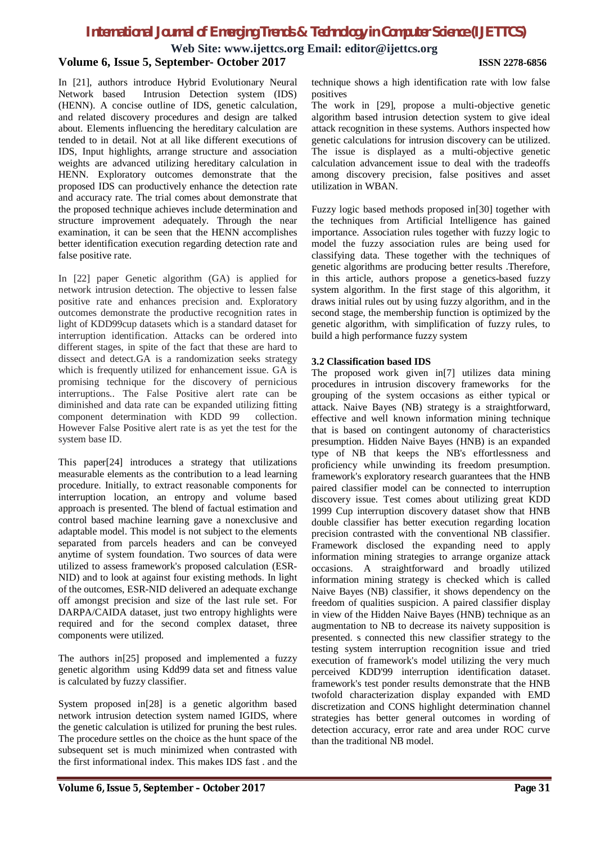**Web Site: www.ijettcs.org Email: editor@ijettcs.org**

#### **Volume 6, Issue 5, September- October 2017 ISSN 2278-6856**

In [21], authors introduce Hybrid Evolutionary Neural Network based Intrusion Detection system (IDS) (HENN). A concise outline of IDS, genetic calculation, and related discovery procedures and design are talked about. Elements influencing the hereditary calculation are tended to in detail. Not at all like different executions of IDS, Input highlights, arrange structure and association weights are advanced utilizing hereditary calculation in HENN. Exploratory outcomes demonstrate that the proposed IDS can productively enhance the detection rate and accuracy rate. The trial comes about demonstrate that the proposed technique achieves include determination and structure improvement adequately. Through the near examination, it can be seen that the HENN accomplishes better identification execution regarding detection rate and false positive rate.

In [22] paper Genetic algorithm (GA) is applied for network intrusion detection. The objective to lessen false positive rate and enhances precision and. Exploratory outcomes demonstrate the productive recognition rates in light of KDD99cup datasets which is a standard dataset for interruption identification. Attacks can be ordered into different stages, in spite of the fact that these are hard to dissect and detect.GA is a randomization seeks strategy which is frequently utilized for enhancement issue. GA is promising technique for the discovery of pernicious interruptions.. The False Positive alert rate can be diminished and data rate can be expanded utilizing fitting component determination with KDD 99 collection. However False Positive alert rate is as yet the test for the system base ID.

This paper[24] introduces a strategy that utilizations measurable elements as the contribution to a lead learning procedure. Initially, to extract reasonable components for interruption location, an entropy and volume based approach is presented. The blend of factual estimation and control based machine learning gave a nonexclusive and adaptable model. This model is not subject to the elements separated from parcels headers and can be conveyed anytime of system foundation. Two sources of data were utilized to assess framework's proposed calculation (ESR-NID) and to look at against four existing methods. In light of the outcomes, ESR-NID delivered an adequate exchange off amongst precision and size of the last rule set. For DARPA/CAIDA dataset, just two entropy highlights were required and for the second complex dataset, three components were utilized.

The authors in[25] proposed and implemented a fuzzy genetic algorithm using Kdd99 data set and fitness value is calculated by fuzzy classifier.

System proposed in[28] is a genetic algorithm based network intrusion detection system named IGIDS, where the genetic calculation is utilized for pruning the best rules. The procedure settles on the choice as the hunt space of the subsequent set is much minimized when contrasted with the first informational index. This makes IDS fast . and the technique shows a high identification rate with low false positives

The work in [29], propose a multi-objective genetic algorithm based intrusion detection system to give ideal attack recognition in these systems. Authors inspected how genetic calculations for intrusion discovery can be utilized. The issue is displayed as a multi-objective genetic calculation advancement issue to deal with the tradeoffs among discovery precision, false positives and asset utilization in WBAN.

Fuzzy logic based methods proposed in[30] together with the techniques from Artificial Intelligence has gained importance. Association rules together with fuzzy logic to model the fuzzy association rules are being used for classifying data. These together with the techniques of genetic algorithms are producing better results .Therefore, in this article, authors propose a genetics-based fuzzy system algorithm. In the first stage of this algorithm, it draws initial rules out by using fuzzy algorithm, and in the second stage, the membership function is optimized by the genetic algorithm, with simplification of fuzzy rules, to build a high performance fuzzy system

#### **3.2 Classification based IDS**

The proposed work given in[7] utilizes data mining procedures in intrusion discovery frameworks for the grouping of the system occasions as either typical or attack. Naive Bayes (NB) strategy is a straightforward, effective and well known information mining technique that is based on contingent autonomy of characteristics presumption. Hidden Naive Bayes (HNB) is an expanded type of NB that keeps the NB's effortlessness and proficiency while unwinding its freedom presumption. framework's exploratory research guarantees that the HNB paired classifier model can be connected to interruption discovery issue. Test comes about utilizing great KDD 1999 Cup interruption discovery dataset show that HNB double classifier has better execution regarding location precision contrasted with the conventional NB classifier. Framework disclosed the expanding need to apply information mining strategies to arrange organize attack occasions. A straightforward and broadly utilized information mining strategy is checked which is called Naive Bayes (NB) classifier, it shows dependency on the freedom of qualities suspicion. A paired classifier display in view of the Hidden Naive Bayes (HNB) technique as an augmentation to NB to decrease its naivety supposition is presented. s connected this new classifier strategy to the testing system interruption recognition issue and tried execution of framework's model utilizing the very much perceived KDD'99 interruption identification dataset. framework's test ponder results demonstrate that the HNB twofold characterization display expanded with EMD discretization and CONS highlight determination channel strategies has better general outcomes in wording of detection accuracy, error rate and area under ROC curve than the traditional NB model.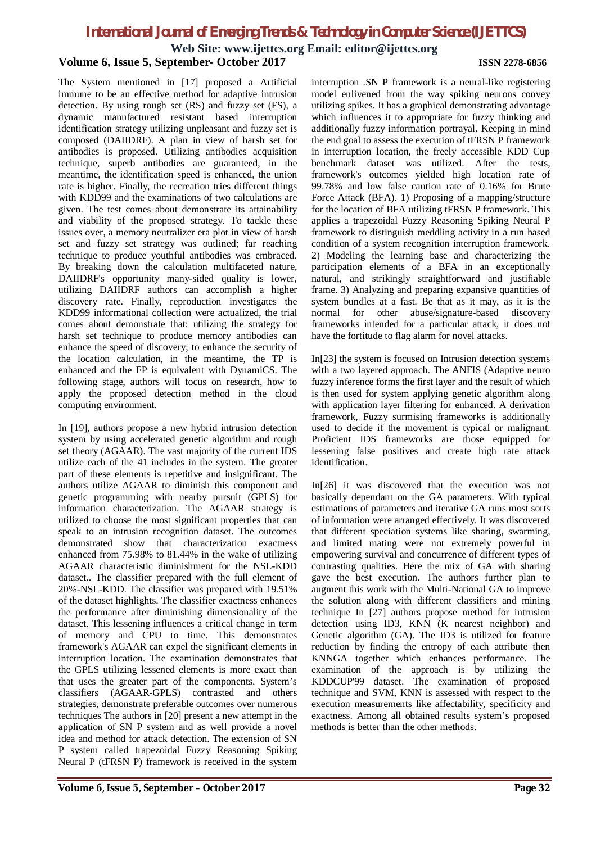**Web Site: www.ijettcs.org Email: editor@ijettcs.org**

**Volume 6, Issue 5, September- October 2017 ISSN 2278-6856** The System mentioned in [17] proposed a Artificial immune to be an effective method for adaptive intrusion detection. By using rough set (RS) and fuzzy set (FS), a dynamic manufactured resistant based interruption identification strategy utilizing unpleasant and fuzzy set is composed (DAIIDRF). A plan in view of harsh set for antibodies is proposed. Utilizing antibodies acquisition technique, superb antibodies are guaranteed, in the meantime, the identification speed is enhanced, the union rate is higher. Finally, the recreation tries different things with KDD99 and the examinations of two calculations are given. The test comes about demonstrate its attainability and viability of the proposed strategy. To tackle these issues over, a memory neutralizer era plot in view of harsh set and fuzzy set strategy was outlined; far reaching technique to produce youthful antibodies was embraced. By breaking down the calculation multifaceted nature, DAIIDRF's opportunity many-sided quality is lower, utilizing DAIIDRF authors can accomplish a higher discovery rate. Finally, reproduction investigates the

KDD99 informational collection were actualized, the trial comes about demonstrate that: utilizing the strategy for harsh set technique to produce memory antibodies can enhance the speed of discovery; to enhance the security of the location calculation, in the meantime, the TP is enhanced and the FP is equivalent with DynamiCS. The following stage, authors will focus on research, how to apply the proposed detection method in the cloud computing environment.

In [19], authors propose a new hybrid intrusion detection system by using accelerated genetic algorithm and rough set theory (AGAAR). The vast majority of the current IDS utilize each of the 41 includes in the system. The greater part of these elements is repetitive and insignificant. The authors utilize AGAAR to diminish this component and genetic programming with nearby pursuit (GPLS) for information characterization. The AGAAR strategy is utilized to choose the most significant properties that can speak to an intrusion recognition dataset. The outcomes demonstrated show that characterization exactness enhanced from 75.98% to 81.44% in the wake of utilizing AGAAR characteristic diminishment for the NSL-KDD dataset.. The classifier prepared with the full element of 20%-NSL-KDD. The classifier was prepared with 19.51% of the dataset highlights. The classifier exactness enhances the performance after diminishing dimensionality of the dataset. This lessening influences a critical change in term of memory and CPU to time. This demonstrates framework's AGAAR can expel the significant elements in interruption location. The examination demonstrates that the GPLS utilizing lessened elements is more exact than that uses the greater part of the components. System's classifiers (AGAAR-GPLS) contrasted and others strategies, demonstrate preferable outcomes over numerous techniques The authors in [20] present a new attempt in the application of SN P system and as well provide a novel idea and method for attack detection. The extension of SN P system called trapezoidal Fuzzy Reasoning Spiking Neural P (tFRSN P) framework is received in the system

interruption .SN P framework is a neural-like registering model enlivened from the way spiking neurons convey utilizing spikes. It has a graphical demonstrating advantage which influences it to appropriate for fuzzy thinking and additionally fuzzy information portrayal. Keeping in mind the end goal to assess the execution of tFRSN P framework in interruption location, the freely accessible KDD Cup benchmark dataset was utilized. After the tests, framework's outcomes yielded high location rate of 99.78% and low false caution rate of 0.16% for Brute Force Attack (BFA). 1) Proposing of a mapping/structure for the location of BFA utilizing tFRSN P framework. This applies a trapezoidal Fuzzy Reasoning Spiking Neural P framework to distinguish meddling activity in a run based condition of a system recognition interruption framework. 2) Modeling the learning base and characterizing the participation elements of a BFA in an exceptionally natural, and strikingly straightforward and justifiable frame. 3) Analyzing and preparing expansive quantities of system bundles at a fast. Be that as it may, as it is the normal for other abuse/signature-based discovery frameworks intended for a particular attack, it does not have the fortitude to flag alarm for novel attacks.

In[23] the system is focused on Intrusion detection systems with a two layered approach. The ANFIS (Adaptive neuro fuzzy inference forms the first layer and the result of which is then used for system applying genetic algorithm along with application layer filtering for enhanced. A derivation framework, Fuzzy surmising frameworks is additionally used to decide if the movement is typical or malignant. Proficient IDS frameworks are those equipped for lessening false positives and create high rate attack identification.

In[26] it was discovered that the execution was not basically dependant on the GA parameters. With typical estimations of parameters and iterative GA runs most sorts of information were arranged effectively. It was discovered that different speciation systems like sharing, swarming, and limited mating were not extremely powerful in empowering survival and concurrence of different types of contrasting qualities. Here the mix of GA with sharing gave the best execution. The authors further plan to augment this work with the Multi-National GA to improve the solution along with different classifiers and mining technique In [27] authors propose method for intrusion detection using ID3, KNN (K nearest neighbor) and Genetic algorithm (GA). The ID3 is utilized for feature reduction by finding the entropy of each attribute then KNNGA together which enhances performance. The examination of the approach is by utilizing the KDDCUP'99 dataset. The examination of proposed technique and SVM, KNN is assessed with respect to the execution measurements like affectability, specificity and exactness. Among all obtained results system's proposed methods is better than the other methods.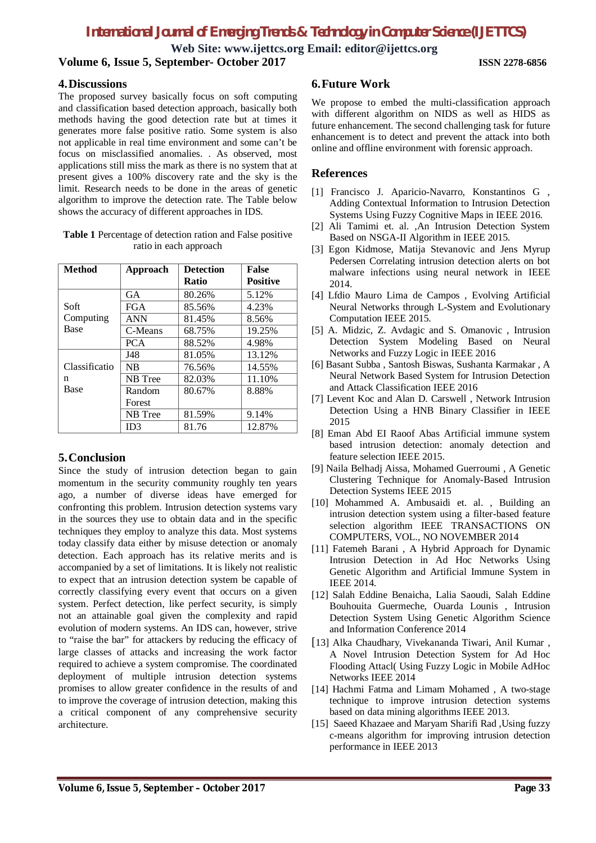**Web Site: www.ijettcs.org Email: editor@ijettcs.org**

**Volume 6, Issue 5, September- October 2017 ISSN 2278-6856**

### **4.Discussions**

The proposed survey basically focus on soft computing and classification based detection approach, basically both methods having the good detection rate but at times it generates more false positive ratio. Some system is also not applicable in real time environment and some can't be focus on misclassified anomalies. . As observed, most applications still miss the mark as there is no system that at present gives a 100% discovery rate and the sky is the limit. Research needs to be done in the areas of genetic algorithm to improve the detection rate. The Table below shows the accuracy of different approaches in IDS.

**Table 1** Percentage of detection ration and False positive ratio in each approach

| <b>Method</b>              | Approach   | <b>Detection</b> | <b>False</b>    |
|----------------------------|------------|------------------|-----------------|
|                            |            | <b>Ratio</b>     | <b>Positive</b> |
|                            | <b>GA</b>  | 80.26%           | 5.12%           |
| Soft<br>Computing<br>Base  | <b>FGA</b> | 85.56%           | 4.23%           |
|                            | <b>ANN</b> | 81.45%           | 8.56%           |
|                            | C-Means    | 68.75%           | 19.25%          |
|                            | <b>PCA</b> | 88.52%           | 4.98%           |
|                            | J48        | 81.05%           | 13.12%          |
| Classificatio<br>n<br>Base | <b>NB</b>  | 76.56%           | 14.55%          |
|                            | NB Tree    | 82.03%           | 11.10%          |
|                            | Random     | 80.67%           | 8.88%           |
|                            | Forest     |                  |                 |
|                            | NB Tree    | 81.59%           | 9.14%           |
|                            | ID3        | 81.76            | 12.87%          |

### **5.Conclusion**

Since the study of intrusion detection began to gain momentum in the security community roughly ten years ago, a number of diverse ideas have emerged for confronting this problem. Intrusion detection systems vary in the sources they use to obtain data and in the specific techniques they employ to analyze this data. Most systems today classify data either by misuse detection or anomaly detection. Each approach has its relative merits and is accompanied by a set of limitations. It is likely not realistic to expect that an intrusion detection system be capable of correctly classifying every event that occurs on a given system. Perfect detection, like perfect security, is simply not an attainable goal given the complexity and rapid evolution of modern systems. An IDS can, however, strive to "raise the bar" for attackers by reducing the efficacy of large classes of attacks and increasing the work factor required to achieve a system compromise. The coordinated deployment of multiple intrusion detection systems promises to allow greater confidence in the results of and to improve the coverage of intrusion detection, making this a critical component of any comprehensive security architecture.

### **6.Future Work**

We propose to embed the multi-classification approach with different algorithm on NIDS as well as HIDS as future enhancement. The second challenging task for future enhancement is to detect and prevent the attack into both online and offline environment with forensic approach.

### **References**

- [1] Francisco J. Aparicio-Navarro, Konstantinos G , Adding Contextual Information to Intrusion Detection Systems Using Fuzzy Cognitive Maps in IEEE 2016.
- [2] Ali Tamimi et. al. ,An Intrusion Detection System Based on NSGA-II Algorithm in IEEE 2015.
- [3] Egon Kidmose, Matija Stevanovic and Jens Myrup Pedersen Correlating intrusion detection alerts on bot malware infections using neural network in IEEE 2014.
- [4] Lfdio Mauro Lima de Campos , Evolving Artificial Neural Networks through L-System and Evolutionary Computation IEEE 2015.
- [5] A. Midzic, Z. Avdagic and S. Omanovic , Intrusion Detection System Modeling Based on Neural Networks and Fuzzy Logic in IEEE 2016
- [6] Basant Subba , Santosh Biswas, Sushanta Karmakar , A Neural Network Based System for Intrusion Detection and Attack Classification IEEE 2016
- [7] Levent Koc and Alan D. Carswell , Network Intrusion Detection Using a HNB Binary Classifier in IEEE 2015
- [8] Eman Abd EI Raoof Abas Artificial immune system based intrusion detection: anomaly detection and feature selection IEEE 2015.
- [9] Naila Belhadj Aissa, Mohamed Guerroumi , A Genetic Clustering Technique for Anomaly-Based Intrusion Detection Systems IEEE 2015
- [10] Mohammed A. Ambusaidi et. al. , Building an intrusion detection system using a filter-based feature selection algorithm IEEE TRANSACTIONS ON COMPUTERS, VOL., NO NOVEMBER 2014
- [11] Fatemeh Barani , A Hybrid Approach for Dynamic Intrusion Detection in Ad Hoc Networks Using Genetic Algorithm and Artificial Immune System in IEEE 2014.
- [12] Salah Eddine Benaicha, Lalia Saoudi, Salah Eddine Bouhouita Guermeche, Ouarda Lounis , Intrusion Detection System Using Genetic Algorithm Science and Information Conference 2014
- [13] Alka Chaudhary, Vivekananda Tiwari, Anil Kumar , A Novel Intrusion Detection System for Ad Hoc Flooding Attacl( Using Fuzzy Logic in Mobile AdHoc Networks IEEE 2014
- [14] Hachmi Fatma and Limam Mohamed , A two-stage technique to improve intrusion detection systems based on data mining algorithms IEEE 2013.
- [15] Saeed Khazaee and Maryam Sharifi Rad ,Using fuzzy c-means algorithm for improving intrusion detection performance in IEEE 2013